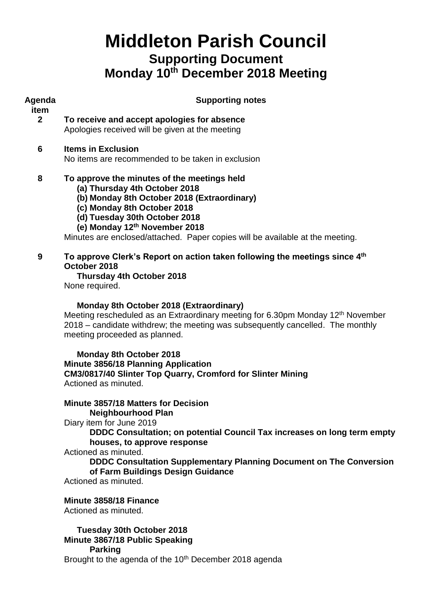# **Middleton Parish Council Supporting Document Monday 10 th December 2018 Meeting**

| Agenda<br>item | <b>Supporting notes</b>                                                                                                                                                                                                                                                                                       |  |  |  |  |
|----------------|---------------------------------------------------------------------------------------------------------------------------------------------------------------------------------------------------------------------------------------------------------------------------------------------------------------|--|--|--|--|
| $\mathbf{2}$   | To receive and accept apologies for absence<br>Apologies received will be given at the meeting                                                                                                                                                                                                                |  |  |  |  |
| 6              | <b>Items in Exclusion</b><br>No items are recommended to be taken in exclusion                                                                                                                                                                                                                                |  |  |  |  |
| 8              | To approve the minutes of the meetings held<br>(a) Thursday 4th October 2018<br>(b) Monday 8th October 2018 (Extraordinary)<br>(c) Monday 8th October 2018<br>(d) Tuesday 30th October 2018<br>(e) Monday 12th November 2018<br>Minutes are enclosed/attached. Paper copies will be available at the meeting. |  |  |  |  |
| 9              | To approve Clerk's Report on action taken following the meetings since 4 <sup>th</sup><br>October 2018<br>Thursday 4th October 2018<br>None required.                                                                                                                                                         |  |  |  |  |
|                | Monday 8th October 2018 (Extraordinary)<br>Meeting rescheduled as an Extraordinary meeting for 6.30pm Monday 12 <sup>th</sup> November<br>2018 – candidate withdrew; the meeting was subsequently cancelled. The monthly<br>meeting proceeded as planned.                                                     |  |  |  |  |
|                | <b>Monday 8th October 2018</b><br>Minute 3856/18 Planning Application<br>CM3/0817/40 Slinter Top Quarry, Cromford for Slinter Mining<br>Actioned as minuted.                                                                                                                                                  |  |  |  |  |
|                | Minute 3857/18 Matters for Decision<br><b>Neighbourhood Plan</b><br>Diary item for June 2019<br>DDDC Consultation; on potential Council Tax increases on long term empty<br>houses, to approve response<br>Actionad as minuted                                                                                |  |  |  |  |

Actioned as minuted.

**DDDC Consultation Supplementary Planning Document on The Conversion of Farm Buildings Design Guidance**

Actioned as minuted.

## **Minute 3858/18 Finance**

Actioned as minuted.

**Tuesday 30th October 2018 Minute 3867/18 Public Speaking Parking**

Brought to the agenda of the 10<sup>th</sup> December 2018 agenda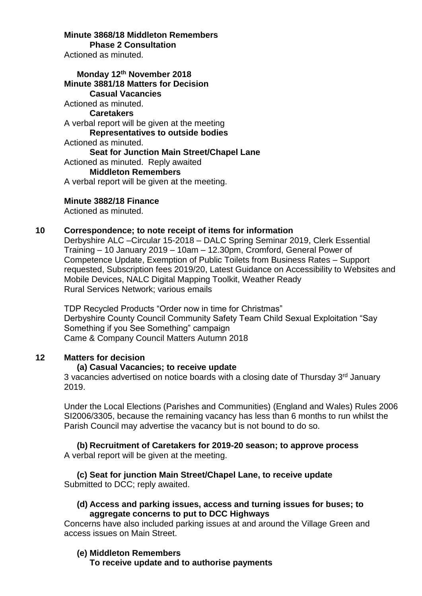**Minute 3868/18 Middleton Remembers Phase 2 Consultation** Actioned as minuted.

**Monday 12th November 2018 Minute 3881/18 Matters for Decision Casual Vacancies** Actioned as minuted. **Caretakers** A verbal report will be given at the meeting **Representatives to outside bodies** Actioned as minuted. **Seat for Junction Main Street/Chapel Lane** Actioned as minuted. Reply awaited **Middleton Remembers** A verbal report will be given at the meeting.

#### **Minute 3882/18 Finance**

Actioned as minuted.

#### **10 Correspondence; to note receipt of items for information**

Derbyshire ALC –Circular 15-2018 – DALC Spring Seminar 2019, Clerk Essential Training – 10 January 2019 – 10am – 12.30pm, Cromford, General Power of Competence Update, Exemption of Public Toilets from Business Rates – Support requested, Subscription fees 2019/20, Latest Guidance on Accessibility to Websites and Mobile Devices, NALC Digital Mapping Toolkit, Weather Ready Rural Services Network; various emails

TDP Recycled Products "Order now in time for Christmas" Derbyshire County Council Community Safety Team Child Sexual Exploitation "Say Something if you See Something" campaign Came & Company Council Matters Autumn 2018

## **12 Matters for decision**

#### **(a) Casual Vacancies; to receive update**

3 vacancies advertised on notice boards with a closing date of Thursday 3<sup>rd</sup> January 2019.

Under the Local Elections (Parishes and Communities) (England and Wales) Rules 2006 SI2006/3305, because the remaining vacancy has less than 6 months to run whilst the Parish Council may advertise the vacancy but is not bound to do so.

## **(b) Recruitment of Caretakers for 2019-20 season; to approve process**

A verbal report will be given at the meeting.

**(c) Seat for junction Main Street/Chapel Lane, to receive update** Submitted to DCC; reply awaited.

### **(d) Access and parking issues, access and turning issues for buses; to aggregate concerns to put to DCC Highways**

Concerns have also included parking issues at and around the Village Green and access issues on Main Street.

### **(e) Middleton Remembers**

**To receive update and to authorise payments**